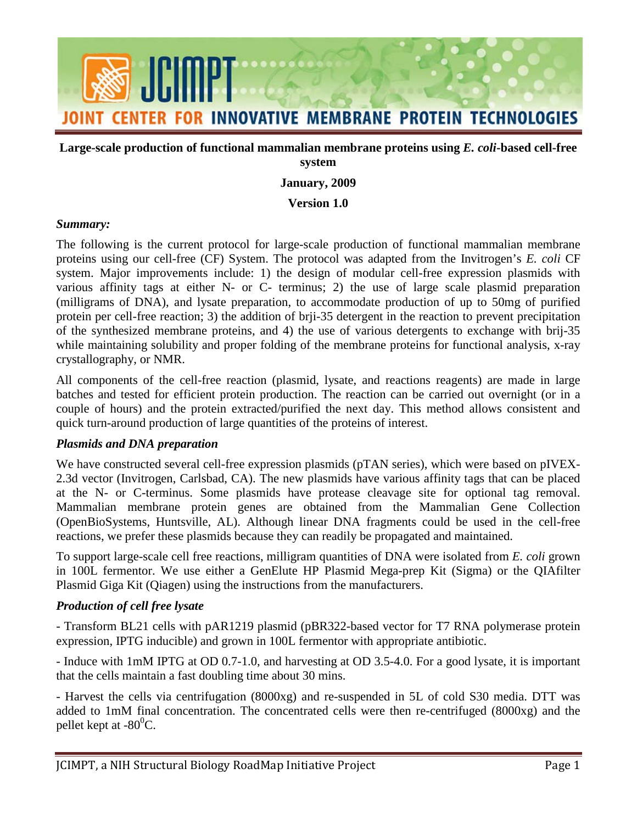

### **Large-scale production of functional mammalian membrane proteins using** *E. coli***-based cell-free system**

## **January, 2009**

#### **Version 1.0**

#### *Summary:*

 proteins using our cell-free (CF) System. The protocol was adapted from the Invitrogen's *E. coli* CF various affinity tags at either N- or C- terminus; 2) the use of large scale plasmid preparation The following is the current protocol for large-scale production of functional mammalian membrane system. Major improvements include: 1) the design of modular cell-free expression plasmids with (milligrams of DNA), and lysate preparation, to accommodate production of up to 50mg of purified protein per cell-free reaction; 3) the addition of brji-35 detergent in the reaction to prevent precipitation of the synthesized membrane proteins, and 4) the use of various detergents to exchange with brij-35 while maintaining solubility and proper folding of the membrane proteins for functional analysis, x-ray crystallography, or NMR.

 batches and tested for efficient protein production. The reaction can be carried out overnight (or in a All components of the cell-free reaction (plasmid, lysate, and reactions reagents) are made in large couple of hours) and the protein extracted/purified the next day. This method allows consistent and quick turn-around production of large quantities of the proteins of interest.

### *Plasmids and DNA preparation*

We have constructed several cell-free expression plasmids (pTAN series), which were based on pIVEX-2.3d vector (Invitrogen, Carlsbad, CA). The new plasmids have various affinity tags that can be placed at the N- or C-terminus. Some plasmids have protease cleavage site for optional tag removal. Mammalian membrane protein genes are obtained from the Mammalian Gene Collection (OpenBioSystems, Huntsville, AL). Although linear DNA fragments could be used in the cell-free reactions, we prefer these plasmids because they can readily be propagated and maintained.

To support large-scale cell free reactions, milligram quantities of DNA were isolated from *E. coli* grown in 100L fermentor. We use either a GenElute HP Plasmid Mega-prep Kit (Sigma) or the QIAfilter Plasmid Giga Kit (Qiagen) using the instructions from the manufacturers.

### *Production of cell free lysate*

- Transform BL21 cells with pAR1219 plasmid (pBR322-based vector for T7 RNA polymerase protein expression, IPTG inducible) and grown in 100L fermentor with appropriate antibiotic.

- Induce with 1mM IPTG at OD 0.7-1.0, and harvesting at OD 3.5-4.0. For a good lysate, it is important that the cells maintain a fast doubling time about 30 mins.

 - Harvest the cells via centrifugation (8000xg) and re-suspended in 5L of cold S30 media. DTT was added to 1mM final concentration. The concentrated cells were then re-centrifuged (8000xg) and the pellet kept at -80 $^0C$ .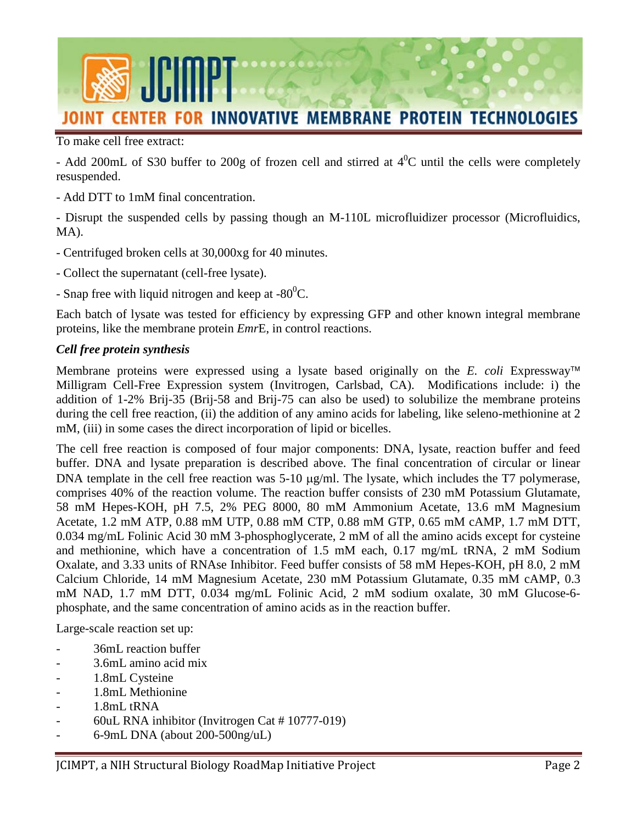

To make cell free extract:

- Add 200mL of S30 buffer to 200g of frozen cell and stirred at  $4^0C$  until the cells were completely resuspended.

- Add DTT to 1mM final concentration.

- Disrupt the suspended cells by passing though an M-110L microfluidizer processor (Microfluidics, MA).

- Centrifuged broken cells at 30,000xg for 40 minutes.
- Collect the supernatant (cell-free lysate).
- Snap free with liquid nitrogen and keep at  $-80^{\circ}$ C.

Each batch of lysate was tested for efficiency by expressing GFP and other known integral membrane proteins, like the membrane protein *Emr*E, in control reactions.

### *Cell free protein synthesis*

Membrane proteins were expressed using a lysate based originally on the *E. coli* Expressway<sup>™</sup> Milligram Cell-Free Expression system (Invitrogen, Carlsbad, CA). Modifications include: i) the addition of 1-2% Brij-35 (Brij-58 and Brij-75 can also be used) to solubilize the membrane proteins during the cell free reaction, (ii) the addition of any amino acids for labeling, like seleno-methionine at 2 mM, (iii) in some cases the direct incorporation of lipid or bicelles.

 0.034 mg/mL Folinic Acid 30 mM 3-phosphoglycerate, 2 mM of all the amino acids except for cysteine Oxalate, and 3.33 units of RNAse Inhibitor. Feed buffer consists of 58 mM Hepes-KOH, pH 8.0, 2 mM The cell free reaction is composed of four major components: DNA, lysate, reaction buffer and feed buffer. DNA and lysate preparation is described above. The final concentration of circular or linear DNA template in the cell free reaction was 5-10  $\mu$ g/ml. The lysate, which includes the T7 polymerase, comprises 40% of the reaction volume. The reaction buffer consists of 230 mM Potassium Glutamate, 58 mM Hepes-KOH, pH 7.5, 2% PEG 8000, 80 mM Ammonium Acetate, 13.6 mM Magnesium Acetate, 1.2 mM ATP, 0.88 mM UTP, 0.88 mM CTP, 0.88 mM GTP, 0.65 mM cAMP, 1.7 mM DTT, and methionine, which have a concentration of 1.5 mM each, 0.17 mg/mL tRNA, 2 mM Sodium Calcium Chloride, 14 mM Magnesium Acetate, 230 mM Potassium Glutamate, 0.35 mM cAMP, 0.3 mM NAD, 1.7 mM DTT, 0.034 mg/mL Folinic Acid, 2 mM sodium oxalate, 30 mM Glucose-6 phosphate, and the same concentration of amino acids as in the reaction buffer.

Large-scale reaction set up:

- 36mL reaction buffer
- 3.6mL amino acid mix
- 1.8mL Cysteine
- 1.8mL Methionine
- 1.8mL tRNA
- 60uL RNA inhibitor (Invitrogen Cat # 10777-019)
- 6-9mL DNA (about 200-500ng/uL)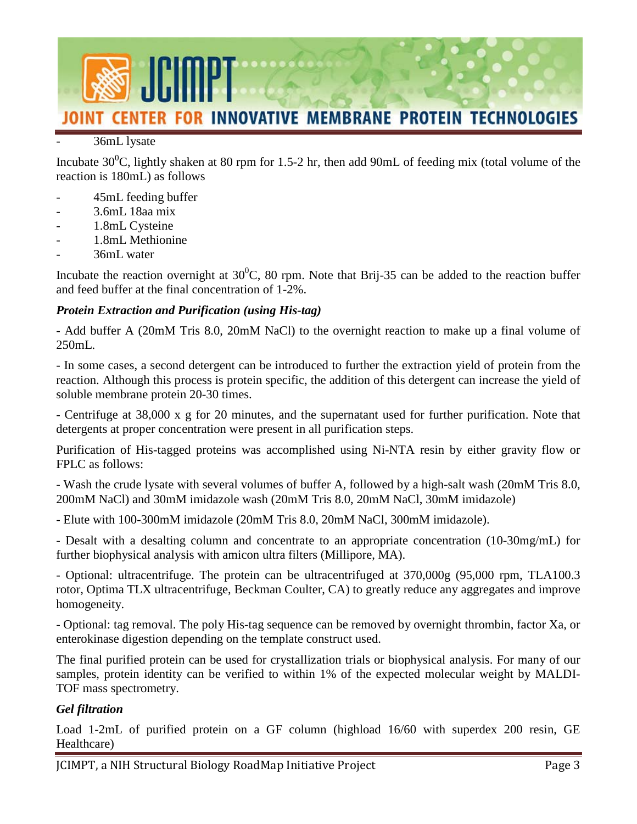

### 36mL lysate

Incubate  $30^0$ C, lightly shaken at 80 rpm for 1.5-2 hr, then add 90mL of feeding mix (total volume of the reaction is 180mL) as follows

- 45mL feeding buffer
- 3.6mL 18aa mix
- 1.8mL Cysteine
- 1.8mL Methionine
- 36mL water

 and feed buffer at the final concentration of 1-2%. Incubate the reaction overnight at  $30^0C$ , 80 rpm. Note that Brij-35 can be added to the reaction buffer

## *Protein Extraction and Purification (using His-tag)*

- Add buffer A (20mM Tris 8.0, 20mM NaCl) to the overnight reaction to make up a final volume of 250mL.

 reaction. Although this process is protein specific, the addition of this detergent can increase the yield of - In some cases, a second detergent can be introduced to further the extraction yield of protein from the soluble membrane protein 20-30 times.

- Centrifuge at 38,000 x g for 20 minutes, and the supernatant used for further purification. Note that detergents at proper concentration were present in all purification steps.

 Purification of His-tagged proteins was accomplished using Ni-NTA resin by either gravity flow or FPLC as follows:

 - Wash the crude lysate with several volumes of buffer A, followed by a high-salt wash (20mM Tris 8.0, 200mM NaCl) and 30mM imidazole wash (20mM Tris 8.0, 20mM NaCl, 30mM imidazole)

- Elute with 100-300mM imidazole (20mM Tris 8.0, 20mM NaCl, 300mM imidazole).

- Desalt with a desalting column and concentrate to an appropriate concentration (10-30mg/mL) for further biophysical analysis with amicon ultra filters (Millipore, MA).

- Optional: ultracentrifuge. The protein can be ultracentrifuged at 370,000g (95,000 rpm, TLA100.3 rotor, Optima TLX ultracentrifuge, Beckman Coulter, CA) to greatly reduce any aggregates and improve homogeneity.

 - Optional: tag removal. The poly His-tag sequence can be removed by overnight thrombin, factor Xa, or enterokinase digestion depending on the template construct used.

The final purified protein can be used for crystallization trials or biophysical analysis. For many of our samples, protein identity can be verified to within 1% of the expected molecular weight by MALDI-TOF mass spectrometry.

# *Gel filtration*

Load 1-2mL of purified protein on a GF column (highload 16/60 with superdex 200 resin, GE Healthcare)